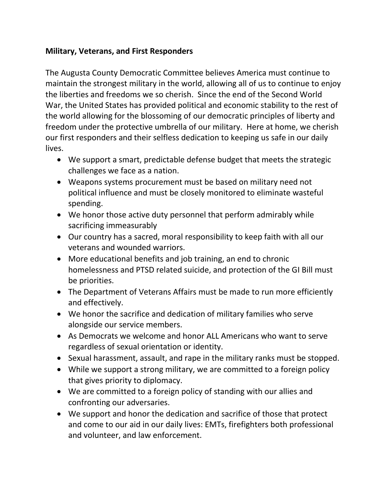## **Military, Veterans, and First Responders**

The Augusta County Democratic Committee believes America must continue to maintain the strongest military in the world, allowing all of us to continue to enjoy the liberties and freedoms we so cherish. Since the end of the Second World War, the United States has provided political and economic stability to the rest of the world allowing for the blossoming of our democratic principles of liberty and freedom under the protective umbrella of our military. Here at home, we cherish our first responders and their selfless dedication to keeping us safe in our daily lives.

- We support a smart, predictable defense budget that meets the strategic challenges we face as a nation.
- Weapons systems procurement must be based on military need not political influence and must be closely monitored to eliminate wasteful spending.
- We honor those active duty personnel that perform admirably while sacrificing immeasurably
- Our country has a sacred, moral responsibility to keep faith with all our veterans and wounded warriors.
- More educational benefits and job training, an end to chronic homelessness and PTSD related suicide, and protection of the GI Bill must be priorities.
- The Department of Veterans Affairs must be made to run more efficiently and effectively.
- We honor the sacrifice and dedication of military families who serve alongside our service members.
- As Democrats we welcome and honor ALL Americans who want to serve regardless of sexual orientation or identity.
- Sexual harassment, assault, and rape in the military ranks must be stopped.
- While we support a strong military, we are committed to a foreign policy that gives priority to diplomacy.
- We are committed to a foreign policy of standing with our allies and confronting our adversaries.
- We support and honor the dedication and sacrifice of those that protect and come to our aid in our daily lives: EMTs, firefighters both professional and volunteer, and law enforcement.